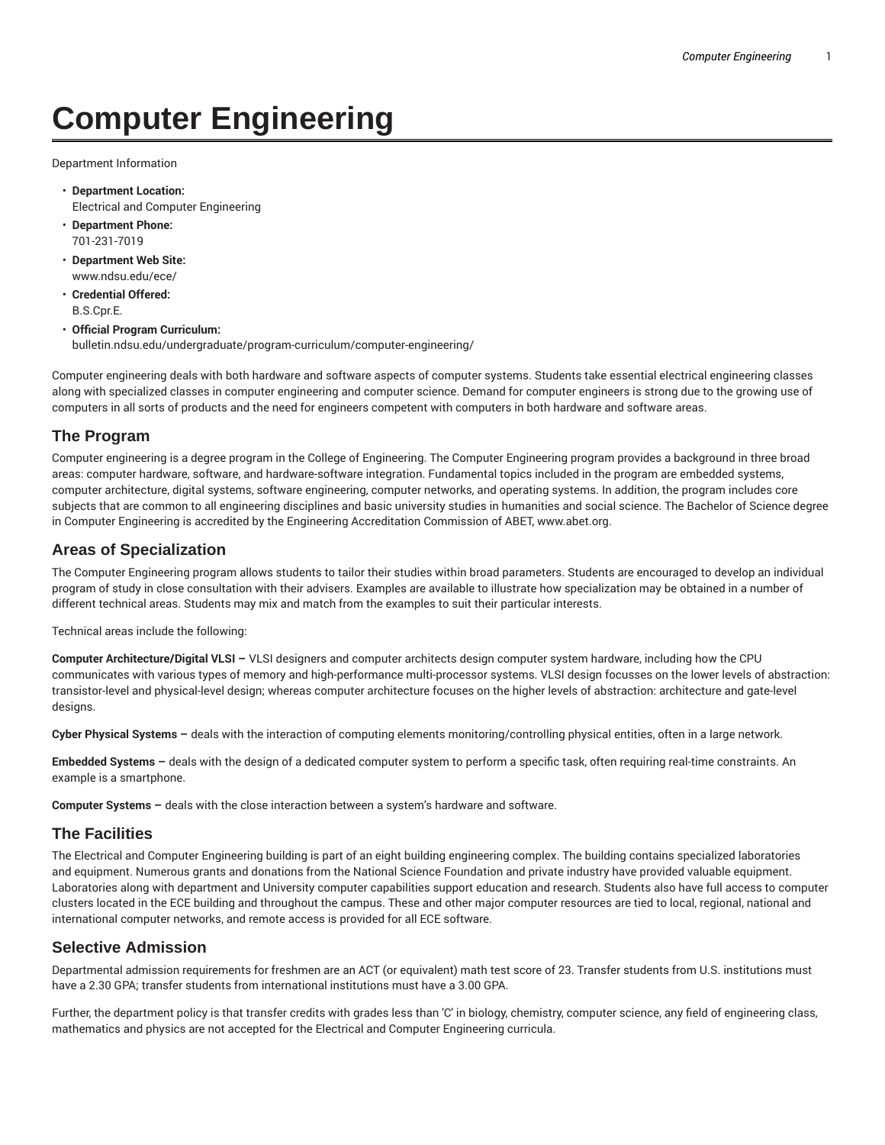# **Computer Engineering**

Department Information

- **Department Location:** Electrical and Computer Engineering
- **Department Phone:** 701-231-7019
- **Department Web Site:** www.ndsu.edu/ece/
- **Credential Offered:** B.S.Cpr.E.
- **Official Program Curriculum:** bulletin.ndsu.edu/undergraduate/program-curriculum/computer-engineering/

Computer engineering deals with both hardware and software aspects of computer systems. Students take essential electrical engineering classes along with specialized classes in computer engineering and computer science. Demand for computer engineers is strong due to the growing use of computers in all sorts of products and the need for engineers competent with computers in both hardware and software areas.

## **The Program**

Computer engineering is a degree program in the College of Engineering. The Computer Engineering program provides a background in three broad areas: computer hardware, software, and hardware-software integration. Fundamental topics included in the program are embedded systems, computer architecture, digital systems, software engineering, computer networks, and operating systems. In addition, the program includes core subjects that are common to all engineering disciplines and basic university studies in humanities and social science. The Bachelor of Science degree in Computer Engineering is accredited by the Engineering Accreditation Commission of ABET, www.abet.org.

## **Areas of Specialization**

The Computer Engineering program allows students to tailor their studies within broad parameters. Students are encouraged to develop an individual program of study in close consultation with their advisers. Examples are available to illustrate how specialization may be obtained in a number of different technical areas. Students may mix and match from the examples to suit their particular interests.

Technical areas include the following:

**Computer Architecture/Digital VLSI –** VLSI designers and computer architects design computer system hardware, including how the CPU communicates with various types of memory and high-performance multi-processor systems. VLSI design focusses on the lower levels of abstraction: transistor-level and physical-level design; whereas computer architecture focuses on the higher levels of abstraction: architecture and gate-level designs.

**Cyber Physical Systems –** deals with the interaction of computing elements monitoring/controlling physical entities, often in a large network.

**Embedded Systems –** deals with the design of a dedicated computer system to perform a specific task, often requiring real-time constraints. An example is a smartphone.

**Computer Systems –** deals with the close interaction between a system's hardware and software.

## **The Facilities**

The Electrical and Computer Engineering building is part of an eight building engineering complex. The building contains specialized laboratories and equipment. Numerous grants and donations from the National Science Foundation and private industry have provided valuable equipment. Laboratories along with department and University computer capabilities support education and research. Students also have full access to computer clusters located in the ECE building and throughout the campus. These and other major computer resources are tied to local, regional, national and international computer networks, and remote access is provided for all ECE software.

## **Selective Admission**

Departmental admission requirements for freshmen are an ACT (or equivalent) math test score of 23. Transfer students from U.S. institutions must have a 2.30 GPA; transfer students from international institutions must have a 3.00 GPA.

Further, the department policy is that transfer credits with grades less than 'C' in biology, chemistry, computer science, any field of engineering class, mathematics and physics are not accepted for the Electrical and Computer Engineering curricula.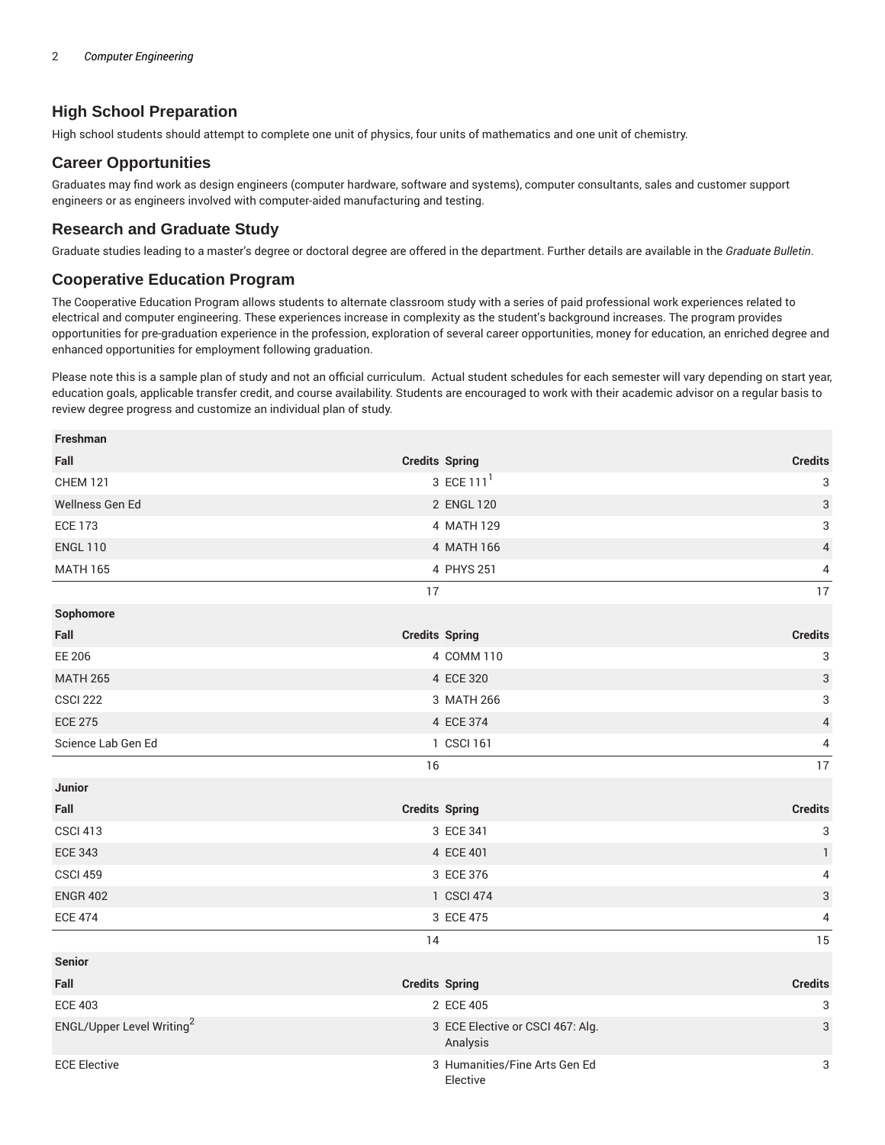## **High School Preparation**

High school students should attempt to complete one unit of physics, four units of mathematics and one unit of chemistry.

#### **Career Opportunities**

Graduates may find work as design engineers (computer hardware, software and systems), computer consultants, sales and customer support engineers or as engineers involved with computer-aided manufacturing and testing.

### **Research and Graduate Study**

Graduate studies leading to a master's degree or doctoral degree are offered in the department. Further details are available in the *Graduate Bulletin*.

#### **Cooperative Education Program**

The Cooperative Education Program allows students to alternate classroom study with a series of paid professional work experiences related to electrical and computer engineering. These experiences increase in complexity as the student's background increases. The program provides opportunities for pre-graduation experience in the profession, exploration of several career opportunities, money for education, an enriched degree and enhanced opportunities for employment following graduation.

Please note this is a sample plan of study and not an official curriculum. Actual student schedules for each semester will vary depending on start year, education goals, applicable transfer credit, and course availability. Students are encouraged to work with their academic advisor on a regular basis to review degree progress and customize an individual plan of study.

| Freshman                              |                                              |                           |
|---------------------------------------|----------------------------------------------|---------------------------|
| Fall                                  | <b>Credits Spring</b>                        | <b>Credits</b>            |
| <b>CHEM 121</b>                       | 3 ECE 111 <sup>1</sup>                       | 3                         |
| Wellness Gen Ed                       | 2 ENGL 120                                   | $\sqrt{3}$                |
| <b>ECE 173</b>                        | 4 MATH 129                                   | 3                         |
| <b>ENGL 110</b>                       | 4 MATH 166                                   | 4                         |
| <b>MATH 165</b>                       | 4 PHYS 251                                   | 4                         |
|                                       | 17                                           | 17                        |
| Sophomore                             |                                              |                           |
| Fall                                  | <b>Credits Spring</b>                        | <b>Credits</b>            |
| EE 206                                | 4 COMM 110                                   | 3                         |
| <b>MATH 265</b>                       | 4 ECE 320                                    | $\ensuremath{\mathsf{3}}$ |
| <b>CSCI 222</b>                       | 3 MATH 266                                   | 3                         |
| <b>ECE 275</b>                        | 4 ECE 374                                    | $\overline{\mathbf{4}}$   |
| Science Lab Gen Ed                    | 1 CSCI 161                                   | 4                         |
|                                       | 16                                           | 17                        |
| <b>Junior</b>                         |                                              |                           |
| Fall                                  | <b>Credits Spring</b>                        | <b>Credits</b>            |
| <b>CSCI 413</b>                       | 3 ECE 341                                    | $\ensuremath{\mathsf{3}}$ |
| <b>ECE 343</b>                        | 4 ECE 401                                    | $\mathbf{1}$              |
| <b>CSCI 459</b>                       | 3 ECE 376                                    | 4                         |
| <b>ENGR 402</b>                       | 1 CSCI 474                                   | 3                         |
| <b>ECE 474</b>                        | 3 ECE 475                                    | 4                         |
|                                       | 14                                           | 15                        |
| <b>Senior</b>                         |                                              |                           |
| Fall                                  | <b>Credits Spring</b>                        | <b>Credits</b>            |
| <b>ECE 403</b>                        | 2 ECE 405                                    | 3                         |
| ENGL/Upper Level Writing <sup>2</sup> | 3 ECE Elective or CSCI 467: Alg.<br>Analysis | 3                         |
| <b>ECE Elective</b>                   | 3 Humanities/Fine Arts Gen Ed<br>Elective    | 3                         |